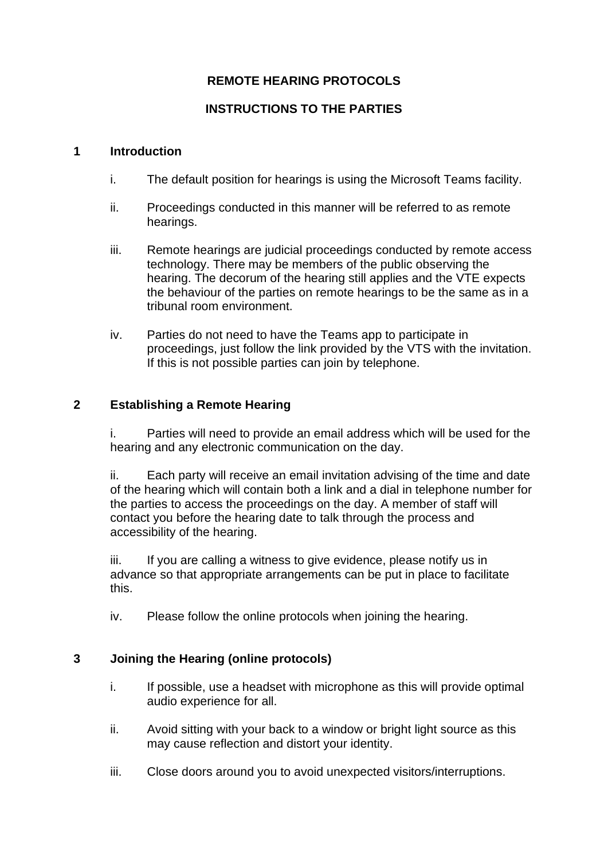# **REMOTE HEARING PROTOCOLS**

## **INSTRUCTIONS TO THE PARTIES**

#### **1 Introduction**

- i. The default position for hearings is using the Microsoft Teams facility.
- ii. Proceedings conducted in this manner will be referred to as remote hearings.
- iii. Remote hearings are judicial proceedings conducted by remote access technology. There may be members of the public observing the hearing. The decorum of the hearing still applies and the VTE expects the behaviour of the parties on remote hearings to be the same as in a tribunal room environment.
- iv. Parties do not need to have the Teams app to participate in proceedings, just follow the link provided by the VTS with the invitation. If this is not possible parties can join by telephone.

### **2 Establishing a Remote Hearing**

Parties will need to provide an email address which will be used for the hearing and any electronic communication on the day.

ii. Each party will receive an email invitation advising of the time and date of the hearing which will contain both a link and a dial in telephone number for the parties to access the proceedings on the day. A member of staff will contact you before the hearing date to talk through the process and accessibility of the hearing.

iii. If you are calling a witness to give evidence, please notify us in advance so that appropriate arrangements can be put in place to facilitate this.

iv. Please follow the online protocols when joining the hearing.

## **3 Joining the Hearing (online protocols)**

- i. If possible, use a headset with microphone as this will provide optimal audio experience for all.
- ii. Avoid sitting with your back to a window or bright light source as this may cause reflection and distort your identity.
- iii. Close doors around you to avoid unexpected visitors/interruptions.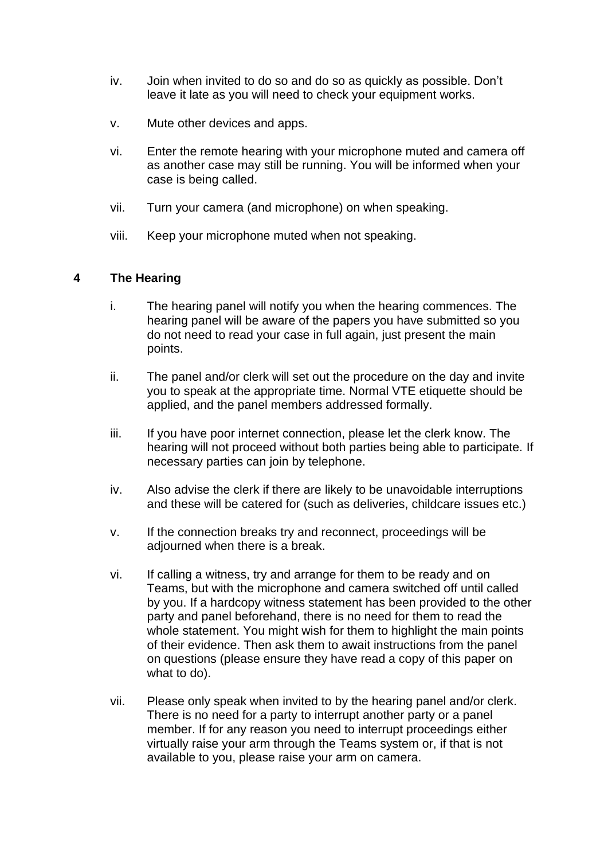- iv. Join when invited to do so and do so as quickly as possible. Don't leave it late as you will need to check your equipment works.
- v. Mute other devices and apps.
- vi. Enter the remote hearing with your microphone muted and camera off as another case may still be running. You will be informed when your case is being called.
- vii. Turn your camera (and microphone) on when speaking.
- viii. Keep your microphone muted when not speaking.

#### **4 The Hearing**

- i. The hearing panel will notify you when the hearing commences. The hearing panel will be aware of the papers you have submitted so you do not need to read your case in full again, just present the main points.
- ii. The panel and/or clerk will set out the procedure on the day and invite you to speak at the appropriate time. Normal VTE etiquette should be applied, and the panel members addressed formally.
- iii. If you have poor internet connection, please let the clerk know. The hearing will not proceed without both parties being able to participate. If necessary parties can join by telephone.
- iv. Also advise the clerk if there are likely to be unavoidable interruptions and these will be catered for (such as deliveries, childcare issues etc.)
- v. If the connection breaks try and reconnect, proceedings will be adjourned when there is a break.
- vi. If calling a witness, try and arrange for them to be ready and on Teams, but with the microphone and camera switched off until called by you. If a hardcopy witness statement has been provided to the other party and panel beforehand, there is no need for them to read the whole statement. You might wish for them to highlight the main points of their evidence. Then ask them to await instructions from the panel on questions (please ensure they have read a copy of this paper on what to do).
- vii. Please only speak when invited to by the hearing panel and/or clerk. There is no need for a party to interrupt another party or a panel member. If for any reason you need to interrupt proceedings either virtually raise your arm through the Teams system or, if that is not available to you, please raise your arm on camera.